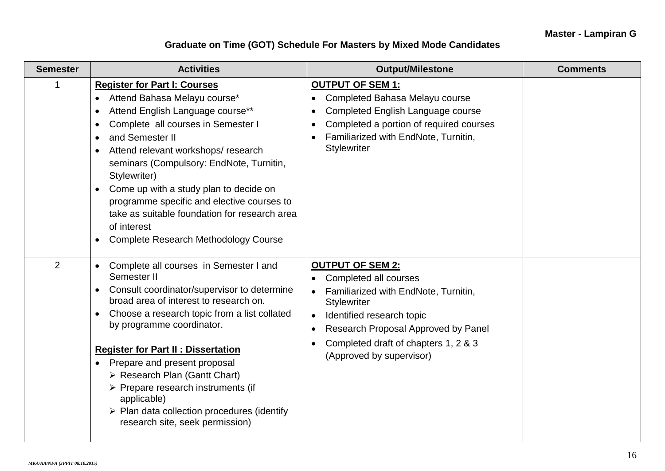## **Graduate on Time (GOT) Schedule For Masters by Mixed Mode Candidates**

| <b>Semester</b> | <b>Activities</b>                                                                                                                                                                                                                                                                                                                                                                                                                                                                                                                          | <b>Output/Milestone</b>                                                                                                                                                                                                                                                          | <b>Comments</b> |
|-----------------|--------------------------------------------------------------------------------------------------------------------------------------------------------------------------------------------------------------------------------------------------------------------------------------------------------------------------------------------------------------------------------------------------------------------------------------------------------------------------------------------------------------------------------------------|----------------------------------------------------------------------------------------------------------------------------------------------------------------------------------------------------------------------------------------------------------------------------------|-----------------|
| 1               | <b>Register for Part I: Courses</b><br>Attend Bahasa Melayu course*<br>Attend English Language course**<br>$\bullet$<br>Complete all courses in Semester I<br>$\bullet$<br>and Semester II<br>$\bullet$<br>Attend relevant workshops/research<br>seminars (Compulsory: EndNote, Turnitin,<br>Stylewriter)<br>Come up with a study plan to decide on<br>$\bullet$<br>programme specific and elective courses to<br>take as suitable foundation for research area<br>of interest<br><b>Complete Research Methodology Course</b><br>$\bullet$ | <b>OUTPUT OF SEM 1:</b><br>Completed Bahasa Melayu course<br>Completed English Language course<br>$\bullet$<br>Completed a portion of required courses<br>Familiarized with EndNote, Turnitin,<br><b>Stylewriter</b>                                                             |                 |
| 2               | Complete all courses in Semester I and<br>$\bullet$<br>Semester II<br>Consult coordinator/supervisor to determine<br>$\bullet$<br>broad area of interest to research on.<br>Choose a research topic from a list collated<br>$\bullet$<br>by programme coordinator.<br><b>Register for Part II: Dissertation</b><br>Prepare and present proposal<br>> Research Plan (Gantt Chart)<br>> Prepare research instruments (if<br>applicable)<br>$\triangleright$ Plan data collection procedures (identify<br>research site, seek permission)     | <b>OUTPUT OF SEM 2:</b><br>Completed all courses<br>$\bullet$<br>Familiarized with EndNote, Turnitin,<br><b>Stylewriter</b><br>Identified research topic<br>Research Proposal Approved by Panel<br>$\bullet$<br>Completed draft of chapters 1, 2 & 3<br>(Approved by supervisor) |                 |